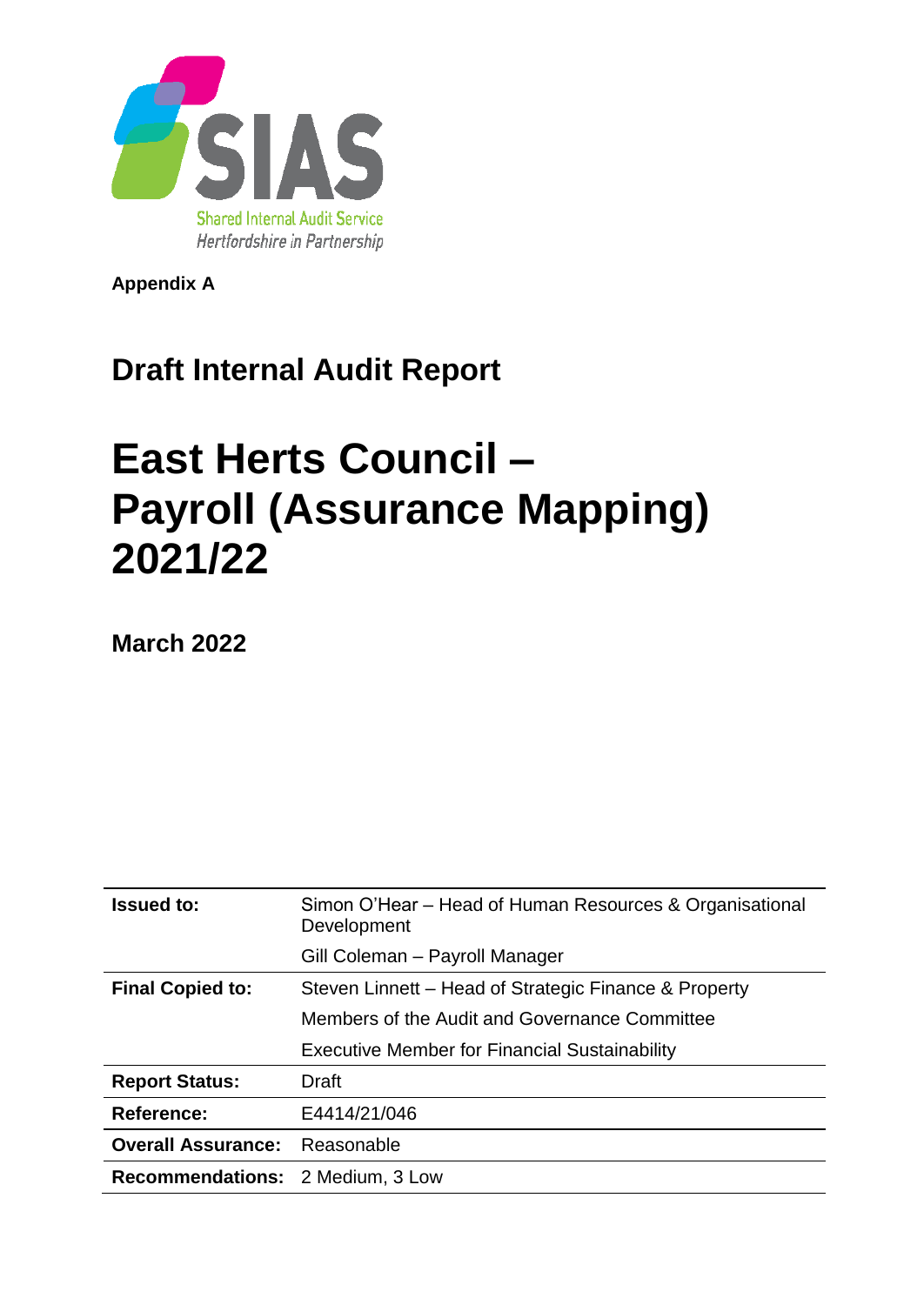

**Appendix A**

## **Draft Internal Audit Report**

# **East Herts Council – Payroll (Assurance Mapping) 2021/22**

**March 2022**

| <b>Issued to:</b>                       | Simon O'Hear – Head of Human Resources & Organisational<br>Development |
|-----------------------------------------|------------------------------------------------------------------------|
|                                         | Gill Coleman - Payroll Manager                                         |
| <b>Final Copied to:</b>                 | Steven Linnett – Head of Strategic Finance & Property                  |
|                                         | Members of the Audit and Governance Committee                          |
|                                         | <b>Executive Member for Financial Sustainability</b>                   |
| <b>Report Status:</b>                   | Draft                                                                  |
| <b>Reference:</b>                       | E4414/21/046                                                           |
| <b>Overall Assurance:</b>               | Reasonable                                                             |
| <b>Recommendations: 2 Medium, 3 Low</b> |                                                                        |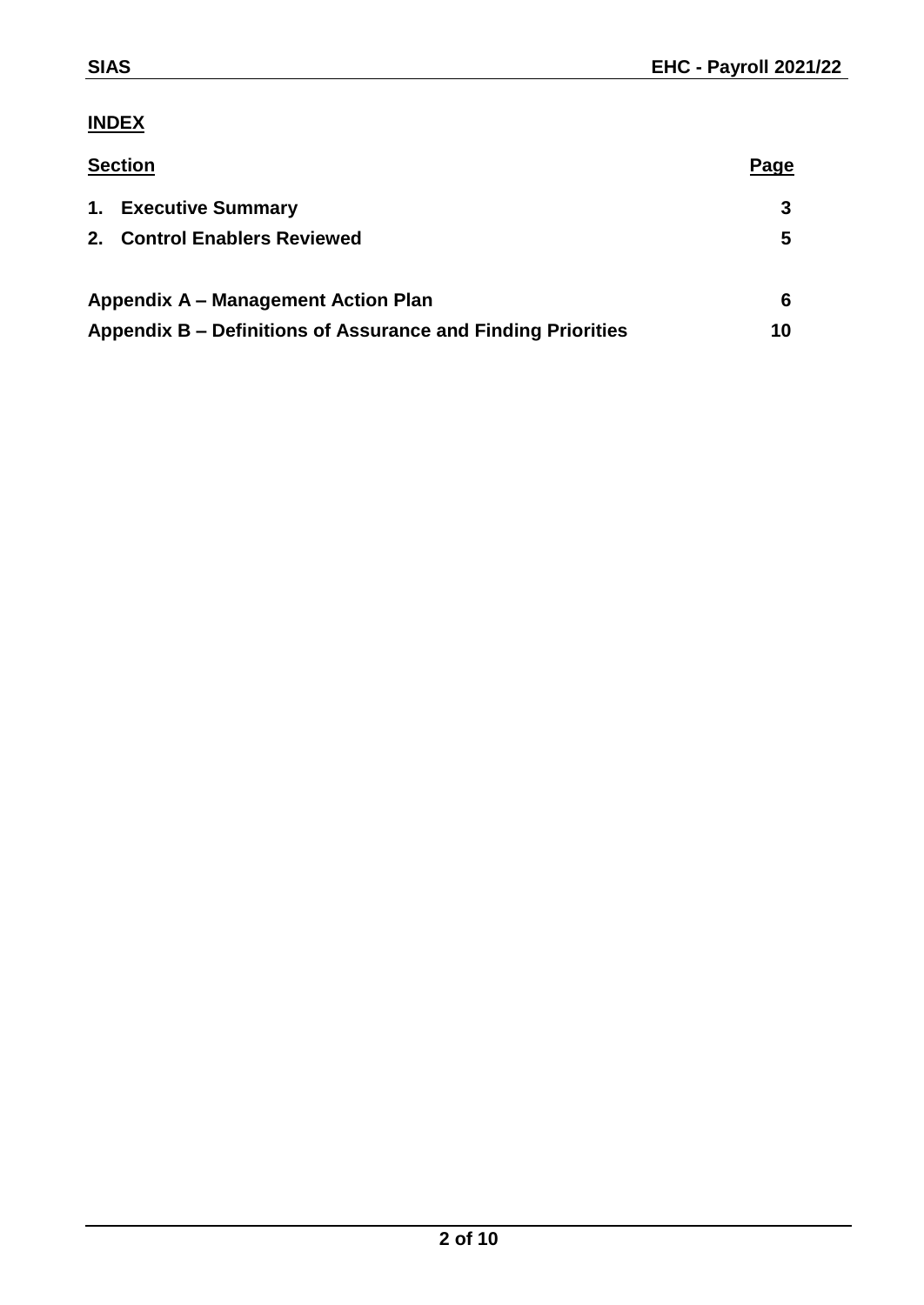### **INDEX**

| <b>Section</b>                                               | Page |  |
|--------------------------------------------------------------|------|--|
| 1. Executive Summary                                         |      |  |
| <b>Control Enablers Reviewed</b><br>$2_{-}$                  | 5    |  |
| Appendix A – Management Action Plan                          | 6    |  |
| Appendix B – Definitions of Assurance and Finding Priorities |      |  |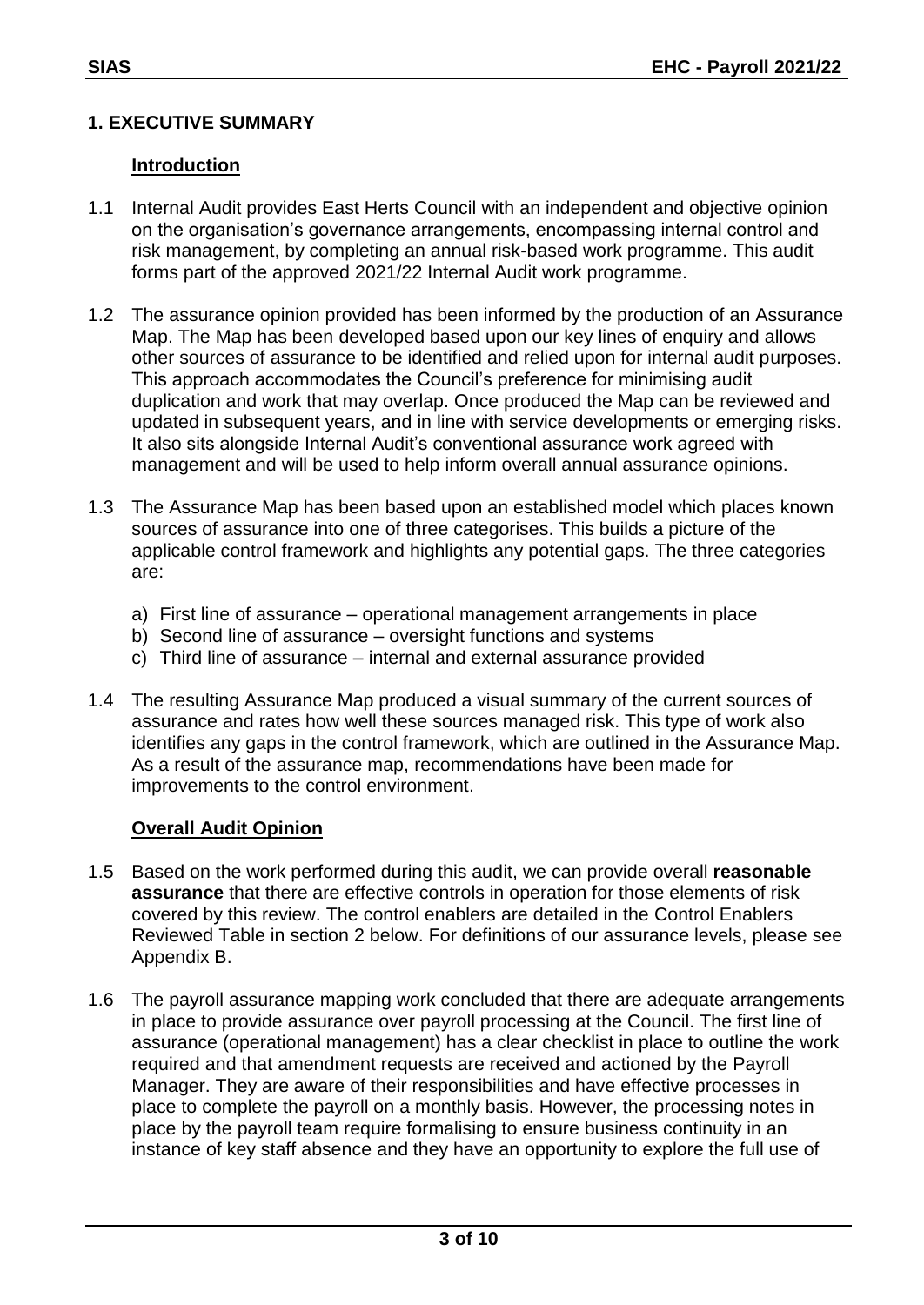#### **1. EXECUTIVE SUMMARY**

#### **Introduction**

- 1.1 Internal Audit provides East Herts Council with an independent and objective opinion on the organisation's governance arrangements, encompassing internal control and risk management, by completing an annual risk-based work programme. This audit forms part of the approved 2021/22 Internal Audit work programme.
- 1.2 The assurance opinion provided has been informed by the production of an Assurance Map. The Map has been developed based upon our key lines of enquiry and allows other sources of assurance to be identified and relied upon for internal audit purposes. This approach accommodates the Council's preference for minimising audit duplication and work that may overlap. Once produced the Map can be reviewed and updated in subsequent years, and in line with service developments or emerging risks. It also sits alongside Internal Audit's conventional assurance work agreed with management and will be used to help inform overall annual assurance opinions.
- 1.3 The Assurance Map has been based upon an established model which places known sources of assurance into one of three categorises. This builds a picture of the applicable control framework and highlights any potential gaps. The three categories are:
	- a) First line of assurance operational management arrangements in place
	- b) Second line of assurance oversight functions and systems
	- c) Third line of assurance internal and external assurance provided
- 1.4 The resulting Assurance Map produced a visual summary of the current sources of assurance and rates how well these sources managed risk. This type of work also identifies any gaps in the control framework, which are outlined in the Assurance Map. As a result of the assurance map, recommendations have been made for improvements to the control environment.

#### **Overall Audit Opinion**

- 1.5 Based on the work performed during this audit, we can provide overall **reasonable assurance** that there are effective controls in operation for those elements of risk covered by this review. The control enablers are detailed in the Control Enablers Reviewed Table in section 2 below. For definitions of our assurance levels, please see Appendix B.
- 1.6 The payroll assurance mapping work concluded that there are adequate arrangements in place to provide assurance over payroll processing at the Council. The first line of assurance (operational management) has a clear checklist in place to outline the work required and that amendment requests are received and actioned by the Payroll Manager. They are aware of their responsibilities and have effective processes in place to complete the payroll on a monthly basis. However, the processing notes in place by the payroll team require formalising to ensure business continuity in an instance of key staff absence and they have an opportunity to explore the full use of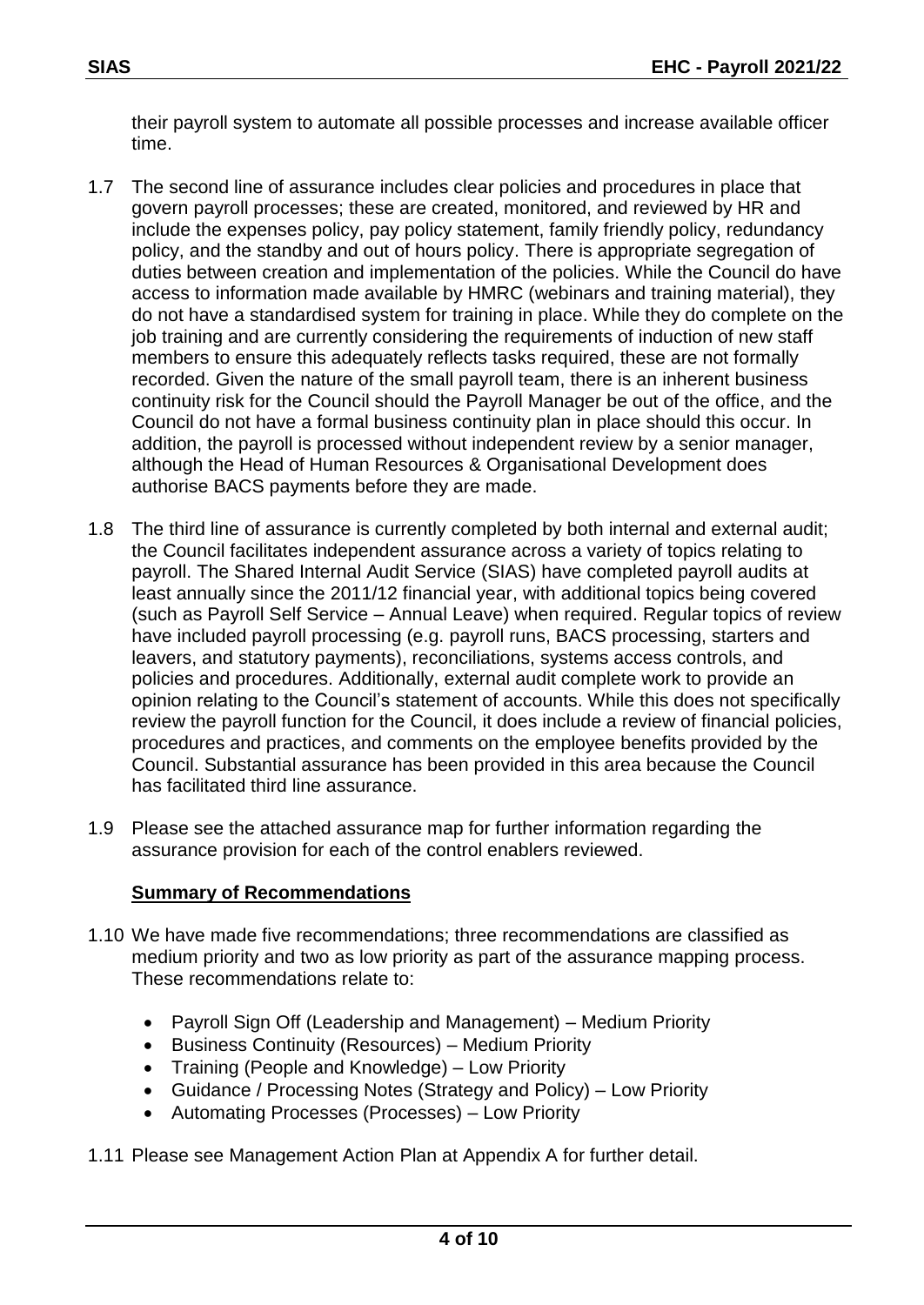their payroll system to automate all possible processes and increase available officer time.

- 1.7 The second line of assurance includes clear policies and procedures in place that govern payroll processes; these are created, monitored, and reviewed by HR and include the expenses policy, pay policy statement, family friendly policy, redundancy policy, and the standby and out of hours policy. There is appropriate segregation of duties between creation and implementation of the policies. While the Council do have access to information made available by HMRC (webinars and training material), they do not have a standardised system for training in place. While they do complete on the job training and are currently considering the requirements of induction of new staff members to ensure this adequately reflects tasks required, these are not formally recorded. Given the nature of the small payroll team, there is an inherent business continuity risk for the Council should the Payroll Manager be out of the office, and the Council do not have a formal business continuity plan in place should this occur. In addition, the payroll is processed without independent review by a senior manager, although the Head of Human Resources & Organisational Development does authorise BACS payments before they are made.
- 1.8 The third line of assurance is currently completed by both internal and external audit; the Council facilitates independent assurance across a variety of topics relating to payroll. The Shared Internal Audit Service (SIAS) have completed payroll audits at least annually since the 2011/12 financial year, with additional topics being covered (such as Payroll Self Service – Annual Leave) when required. Regular topics of review have included payroll processing (e.g. payroll runs, BACS processing, starters and leavers, and statutory payments), reconciliations, systems access controls, and policies and procedures. Additionally, external audit complete work to provide an opinion relating to the Council's statement of accounts. While this does not specifically review the payroll function for the Council, it does include a review of financial policies, procedures and practices, and comments on the employee benefits provided by the Council. Substantial assurance has been provided in this area because the Council has facilitated third line assurance.
- 1.9 Please see the attached assurance map for further information regarding the assurance provision for each of the control enablers reviewed.

#### **Summary of Recommendations**

- 1.10 We have made five recommendations; three recommendations are classified as medium priority and two as low priority as part of the assurance mapping process. These recommendations relate to:
	- Payroll Sign Off (Leadership and Management) Medium Priority
	- Business Continuity (Resources) Medium Priority
	- Training (People and Knowledge) Low Priority
	- Guidance / Processing Notes (Strategy and Policy) Low Priority
	- Automating Processes (Processes) Low Priority
- 1.11 Please see Management Action Plan at Appendix A for further detail.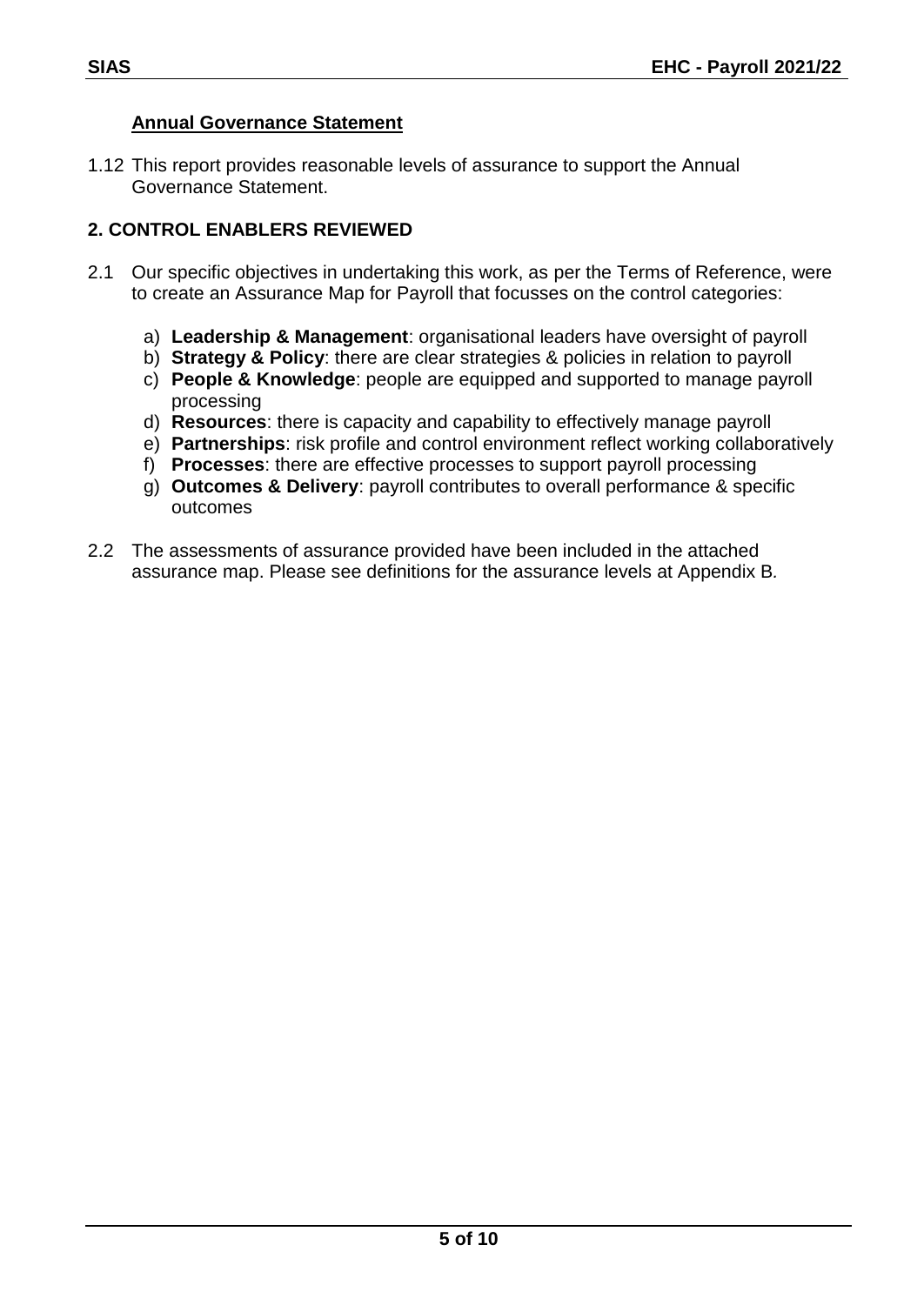#### **Annual Governance Statement**

1.12 This report provides reasonable levels of assurance to support the Annual Governance Statement.

#### **2. CONTROL ENABLERS REVIEWED**

- 2.1 Our specific objectives in undertaking this work, as per the Terms of Reference, were to create an Assurance Map for Payroll that focusses on the control categories:
	- a) **Leadership & Management**: organisational leaders have oversight of payroll
	- b) **Strategy & Policy**: there are clear strategies & policies in relation to payroll
	- c) **People & Knowledge**: people are equipped and supported to manage payroll processing
	- d) **Resources**: there is capacity and capability to effectively manage payroll
	- e) **Partnerships**: risk profile and control environment reflect working collaboratively
	- f) **Processes**: there are effective processes to support payroll processing
	- g) **Outcomes & Delivery**: payroll contributes to overall performance & specific outcomes
- 2.2 The assessments of assurance provided have been included in the attached assurance map. Please see definitions for the assurance levels at Appendix B*.*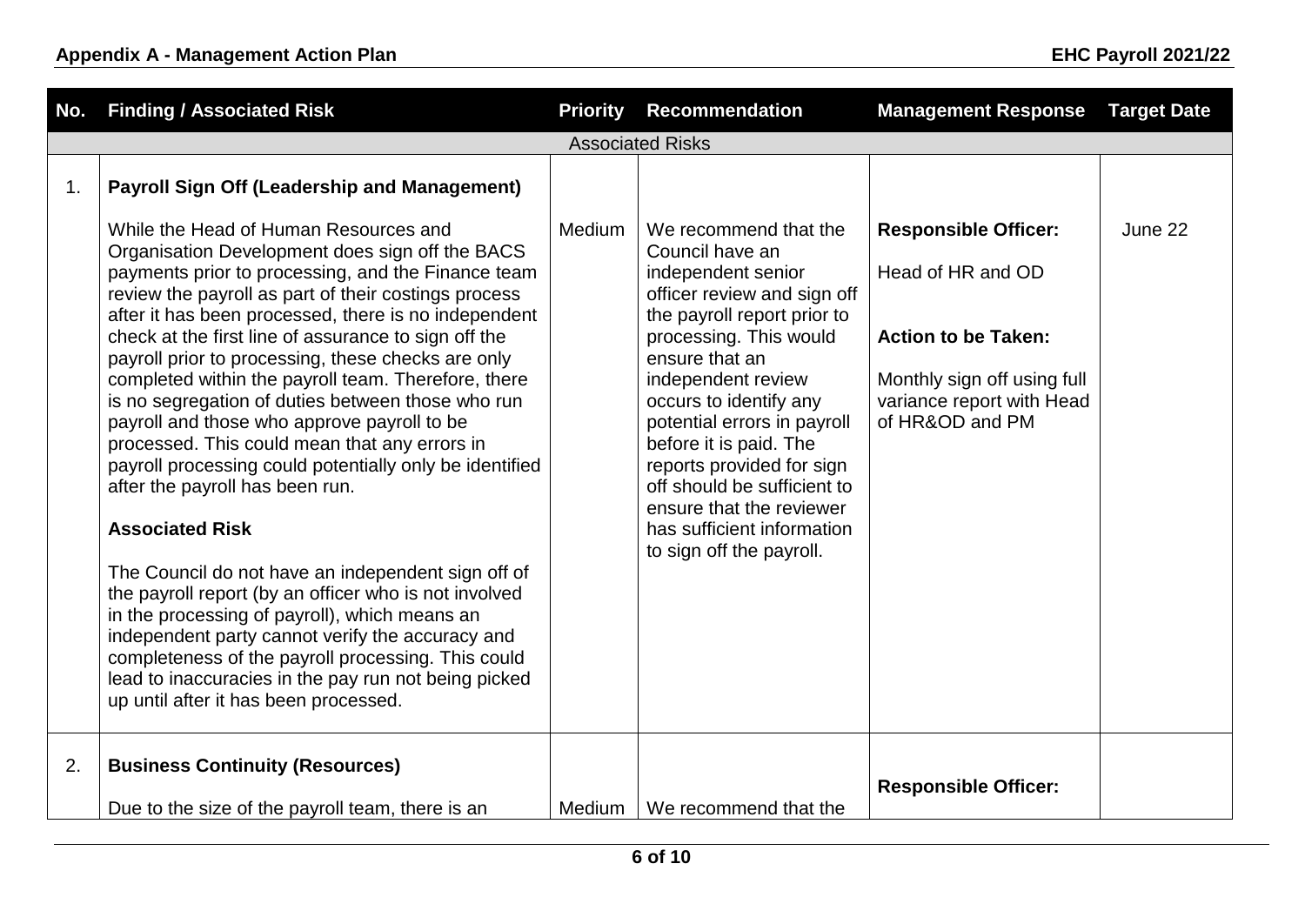| No. | <b>Finding / Associated Risk</b>                                                                                                                                                                                                                                                                                                                                                                                                                                                                                                                                                                                                                                                                                                                                                                                                                                                                                                                                                                                                                                                            | <b>Priority</b> | <b>Recommendation</b>                                                                                                                                                                                                                                                                                                                                                                                                               | <b>Management Response</b>                                                                                                                                    | <b>Target Date</b> |
|-----|---------------------------------------------------------------------------------------------------------------------------------------------------------------------------------------------------------------------------------------------------------------------------------------------------------------------------------------------------------------------------------------------------------------------------------------------------------------------------------------------------------------------------------------------------------------------------------------------------------------------------------------------------------------------------------------------------------------------------------------------------------------------------------------------------------------------------------------------------------------------------------------------------------------------------------------------------------------------------------------------------------------------------------------------------------------------------------------------|-----------------|-------------------------------------------------------------------------------------------------------------------------------------------------------------------------------------------------------------------------------------------------------------------------------------------------------------------------------------------------------------------------------------------------------------------------------------|---------------------------------------------------------------------------------------------------------------------------------------------------------------|--------------------|
|     |                                                                                                                                                                                                                                                                                                                                                                                                                                                                                                                                                                                                                                                                                                                                                                                                                                                                                                                                                                                                                                                                                             |                 | <b>Associated Risks</b>                                                                                                                                                                                                                                                                                                                                                                                                             |                                                                                                                                                               |                    |
| 1.  | <b>Payroll Sign Off (Leadership and Management)</b>                                                                                                                                                                                                                                                                                                                                                                                                                                                                                                                                                                                                                                                                                                                                                                                                                                                                                                                                                                                                                                         |                 |                                                                                                                                                                                                                                                                                                                                                                                                                                     |                                                                                                                                                               |                    |
|     | While the Head of Human Resources and<br>Organisation Development does sign off the BACS<br>payments prior to processing, and the Finance team<br>review the payroll as part of their costings process<br>after it has been processed, there is no independent<br>check at the first line of assurance to sign off the<br>payroll prior to processing, these checks are only<br>completed within the payroll team. Therefore, there<br>is no segregation of duties between those who run<br>payroll and those who approve payroll to be<br>processed. This could mean that any errors in<br>payroll processing could potentially only be identified<br>after the payroll has been run.<br><b>Associated Risk</b><br>The Council do not have an independent sign off of<br>the payroll report (by an officer who is not involved<br>in the processing of payroll), which means an<br>independent party cannot verify the accuracy and<br>completeness of the payroll processing. This could<br>lead to inaccuracies in the pay run not being picked<br>up until after it has been processed. | Medium          | We recommend that the<br>Council have an<br>independent senior<br>officer review and sign off<br>the payroll report prior to<br>processing. This would<br>ensure that an<br>independent review<br>occurs to identify any<br>potential errors in payroll<br>before it is paid. The<br>reports provided for sign<br>off should be sufficient to<br>ensure that the reviewer<br>has sufficient information<br>to sign off the payroll. | <b>Responsible Officer:</b><br>Head of HR and OD<br><b>Action to be Taken:</b><br>Monthly sign off using full<br>variance report with Head<br>of HR&OD and PM | June 22            |
| 2.  | <b>Business Continuity (Resources)</b><br>Due to the size of the payroll team, there is an                                                                                                                                                                                                                                                                                                                                                                                                                                                                                                                                                                                                                                                                                                                                                                                                                                                                                                                                                                                                  | Medium          | We recommend that the                                                                                                                                                                                                                                                                                                                                                                                                               | <b>Responsible Officer:</b>                                                                                                                                   |                    |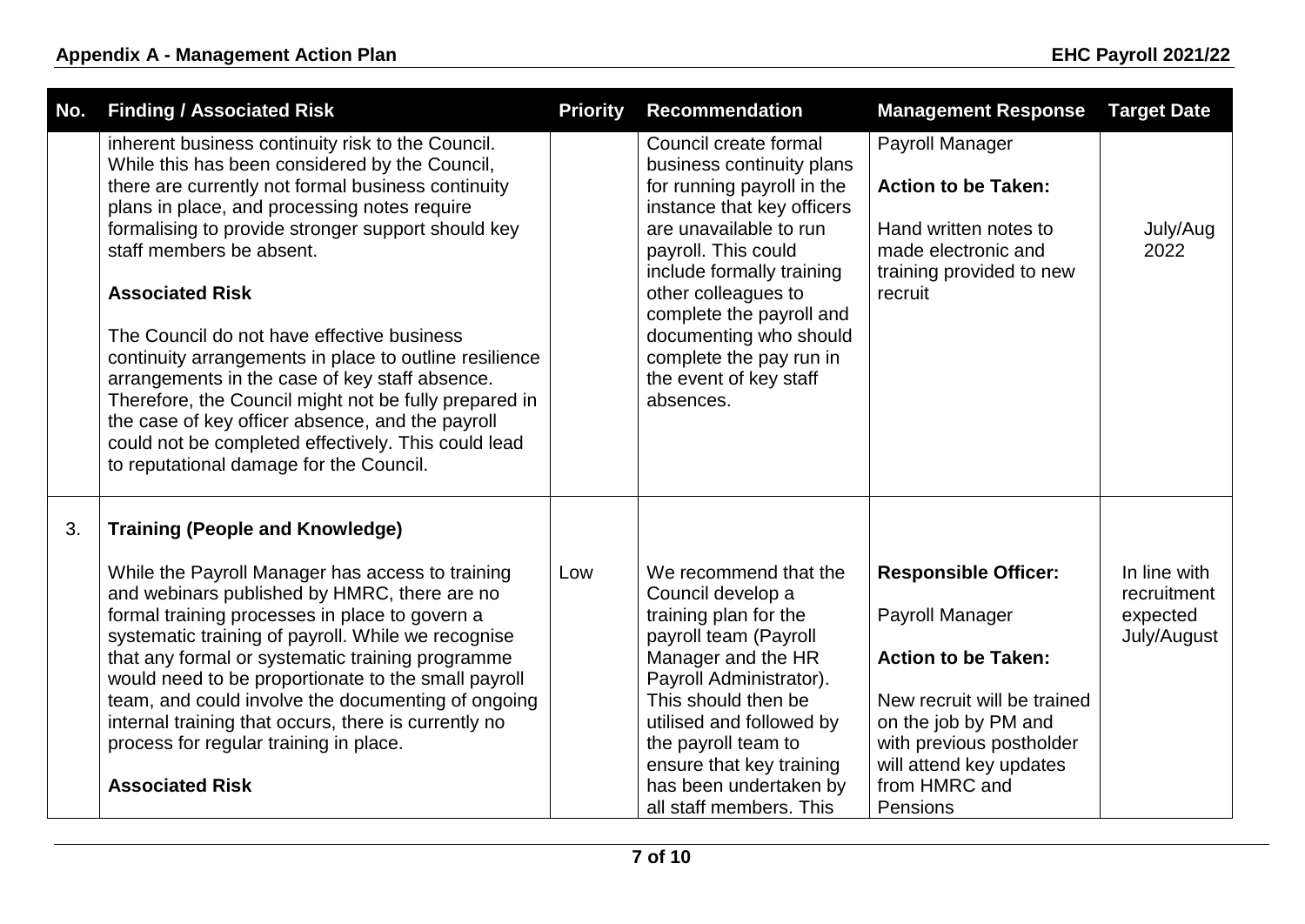| No. | <b>Finding / Associated Risk</b>                                                                                                                                                                                                                                                                                                                                                                                                                                                                                                                                                                                                                                                               | <b>Priority</b> | <b>Recommendation</b>                                                                                                                                                                                                                                                                                                                       | <b>Management Response</b>                                                                                                                                                                                              | <b>Target Date</b>                                     |
|-----|------------------------------------------------------------------------------------------------------------------------------------------------------------------------------------------------------------------------------------------------------------------------------------------------------------------------------------------------------------------------------------------------------------------------------------------------------------------------------------------------------------------------------------------------------------------------------------------------------------------------------------------------------------------------------------------------|-----------------|---------------------------------------------------------------------------------------------------------------------------------------------------------------------------------------------------------------------------------------------------------------------------------------------------------------------------------------------|-------------------------------------------------------------------------------------------------------------------------------------------------------------------------------------------------------------------------|--------------------------------------------------------|
|     | inherent business continuity risk to the Council.<br>While this has been considered by the Council,<br>there are currently not formal business continuity<br>plans in place, and processing notes require<br>formalising to provide stronger support should key<br>staff members be absent.<br><b>Associated Risk</b><br>The Council do not have effective business<br>continuity arrangements in place to outline resilience<br>arrangements in the case of key staff absence.<br>Therefore, the Council might not be fully prepared in<br>the case of key officer absence, and the payroll<br>could not be completed effectively. This could lead<br>to reputational damage for the Council. |                 | Council create formal<br>business continuity plans<br>for running payroll in the<br>instance that key officers<br>are unavailable to run<br>payroll. This could<br>include formally training<br>other colleagues to<br>complete the payroll and<br>documenting who should<br>complete the pay run in<br>the event of key staff<br>absences. | Payroll Manager<br><b>Action to be Taken:</b><br>Hand written notes to<br>made electronic and<br>training provided to new<br>recruit                                                                                    | July/Aug<br>2022                                       |
| 3.  | <b>Training (People and Knowledge)</b><br>While the Payroll Manager has access to training<br>and webinars published by HMRC, there are no<br>formal training processes in place to govern a<br>systematic training of payroll. While we recognise<br>that any formal or systematic training programme<br>would need to be proportionate to the small payroll<br>team, and could involve the documenting of ongoing<br>internal training that occurs, there is currently no<br>process for regular training in place.<br><b>Associated Risk</b>                                                                                                                                                | Low             | We recommend that the<br>Council develop a<br>training plan for the<br>payroll team (Payroll<br>Manager and the HR<br>Payroll Administrator).<br>This should then be<br>utilised and followed by<br>the payroll team to<br>ensure that key training<br>has been undertaken by<br>all staff members. This                                    | <b>Responsible Officer:</b><br>Payroll Manager<br><b>Action to be Taken:</b><br>New recruit will be trained<br>on the job by PM and<br>with previous postholder<br>will attend key updates<br>from HMRC and<br>Pensions | In line with<br>recruitment<br>expected<br>July/August |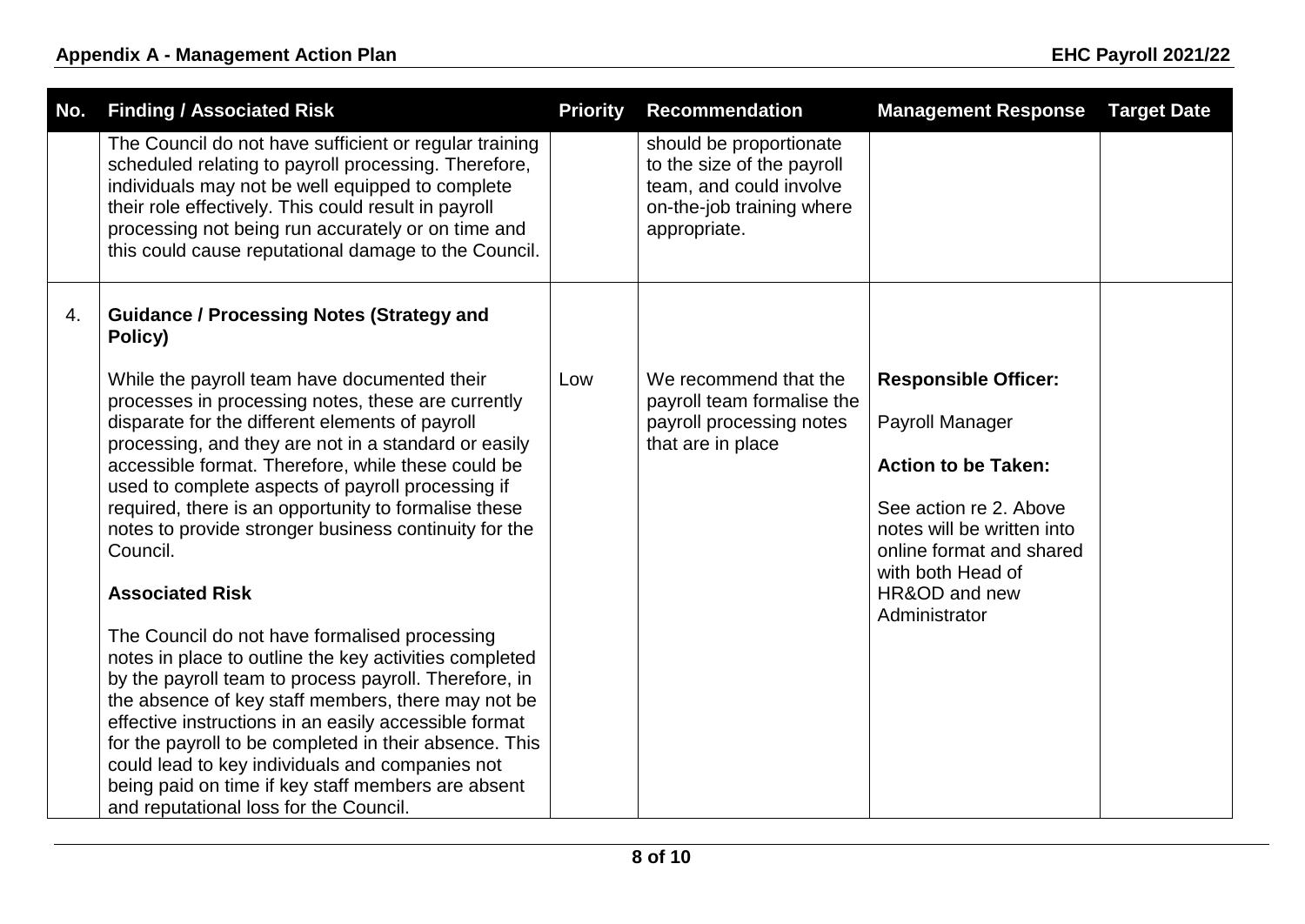| No. | <b>Finding / Associated Risk</b>                                                                                                                                                                                                                                                                                                                                                                                                                                                             | <b>Priority</b> | <b>Recommendation</b>                                                                                                         | <b>Management Response</b>                                                                                                                                                                                              | <b>Target Date</b> |
|-----|----------------------------------------------------------------------------------------------------------------------------------------------------------------------------------------------------------------------------------------------------------------------------------------------------------------------------------------------------------------------------------------------------------------------------------------------------------------------------------------------|-----------------|-------------------------------------------------------------------------------------------------------------------------------|-------------------------------------------------------------------------------------------------------------------------------------------------------------------------------------------------------------------------|--------------------|
|     | The Council do not have sufficient or regular training<br>scheduled relating to payroll processing. Therefore,<br>individuals may not be well equipped to complete<br>their role effectively. This could result in payroll<br>processing not being run accurately or on time and<br>this could cause reputational damage to the Council.                                                                                                                                                     |                 | should be proportionate<br>to the size of the payroll<br>team, and could involve<br>on-the-job training where<br>appropriate. |                                                                                                                                                                                                                         |                    |
| 4.  | <b>Guidance / Processing Notes (Strategy and</b><br>Policy)                                                                                                                                                                                                                                                                                                                                                                                                                                  |                 |                                                                                                                               |                                                                                                                                                                                                                         |                    |
|     | While the payroll team have documented their<br>processes in processing notes, these are currently<br>disparate for the different elements of payroll<br>processing, and they are not in a standard or easily<br>accessible format. Therefore, while these could be<br>used to complete aspects of payroll processing if<br>required, there is an opportunity to formalise these<br>notes to provide stronger business continuity for the<br>Council.<br><b>Associated Risk</b>              | Low             | We recommend that the<br>payroll team formalise the<br>payroll processing notes<br>that are in place                          | <b>Responsible Officer:</b><br>Payroll Manager<br><b>Action to be Taken:</b><br>See action re 2. Above<br>notes will be written into<br>online format and shared<br>with both Head of<br>HR&OD and new<br>Administrator |                    |
|     | The Council do not have formalised processing<br>notes in place to outline the key activities completed<br>by the payroll team to process payroll. Therefore, in<br>the absence of key staff members, there may not be<br>effective instructions in an easily accessible format<br>for the payroll to be completed in their absence. This<br>could lead to key individuals and companies not<br>being paid on time if key staff members are absent<br>and reputational loss for the Council. |                 |                                                                                                                               |                                                                                                                                                                                                                         |                    |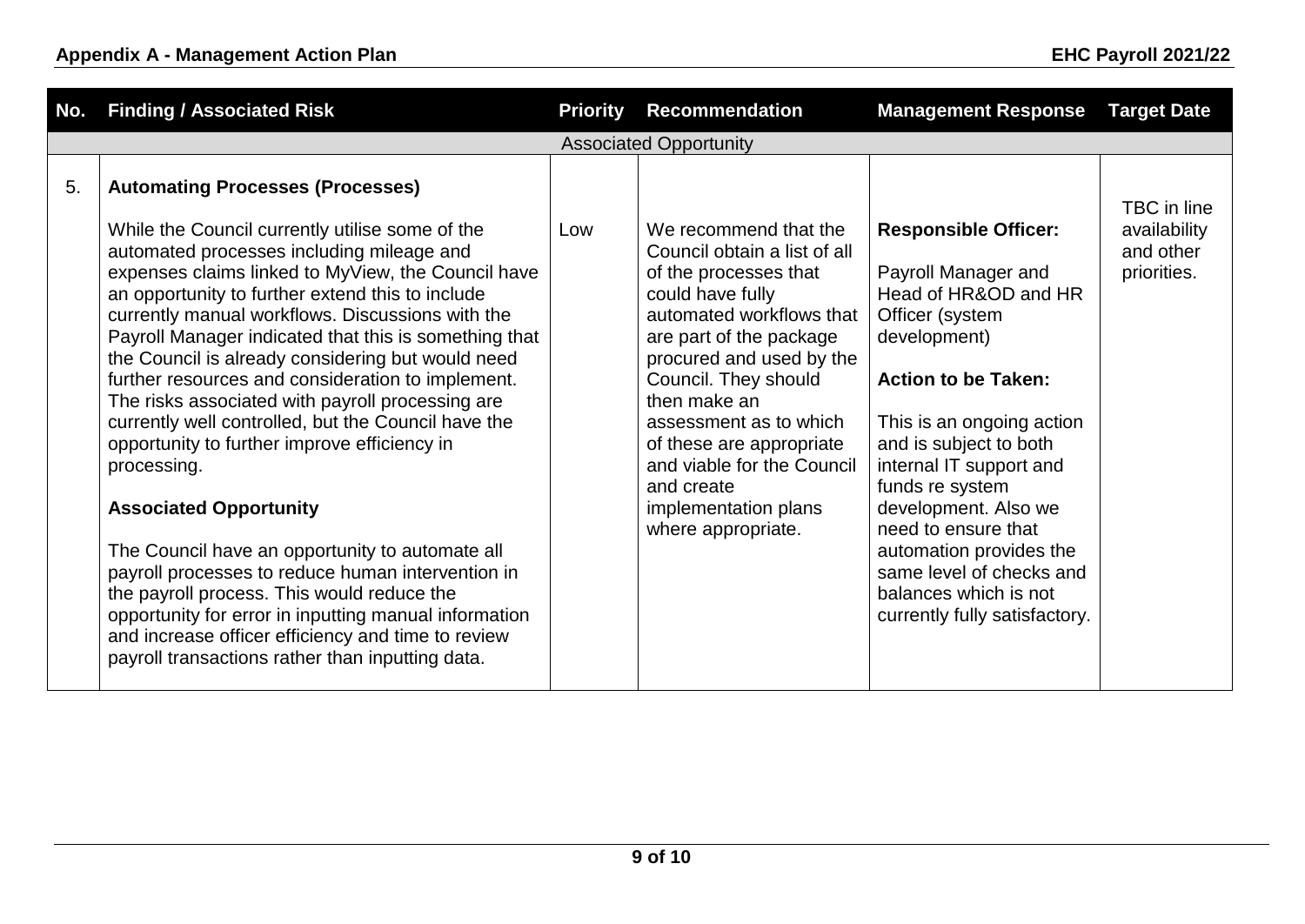| No. | <b>Finding / Associated Risk</b>                                                                                                                                                                                                                                                                                                                                                                                                                                                                                                                                                                                                                                                                                                                                                                                                                                                                                                                                                                             | <b>Priority</b> | <b>Recommendation</b>                                                                                                                                                                                                                                                                                                                                                         | <b>Management Response</b>                                                                                                                                                                                                                                                                                                                                                                                       | <b>Target Date</b>                                      |
|-----|--------------------------------------------------------------------------------------------------------------------------------------------------------------------------------------------------------------------------------------------------------------------------------------------------------------------------------------------------------------------------------------------------------------------------------------------------------------------------------------------------------------------------------------------------------------------------------------------------------------------------------------------------------------------------------------------------------------------------------------------------------------------------------------------------------------------------------------------------------------------------------------------------------------------------------------------------------------------------------------------------------------|-----------------|-------------------------------------------------------------------------------------------------------------------------------------------------------------------------------------------------------------------------------------------------------------------------------------------------------------------------------------------------------------------------------|------------------------------------------------------------------------------------------------------------------------------------------------------------------------------------------------------------------------------------------------------------------------------------------------------------------------------------------------------------------------------------------------------------------|---------------------------------------------------------|
|     |                                                                                                                                                                                                                                                                                                                                                                                                                                                                                                                                                                                                                                                                                                                                                                                                                                                                                                                                                                                                              |                 | <b>Associated Opportunity</b>                                                                                                                                                                                                                                                                                                                                                 |                                                                                                                                                                                                                                                                                                                                                                                                                  |                                                         |
| 5.  | <b>Automating Processes (Processes)</b><br>While the Council currently utilise some of the<br>automated processes including mileage and<br>expenses claims linked to MyView, the Council have<br>an opportunity to further extend this to include<br>currently manual workflows. Discussions with the<br>Payroll Manager indicated that this is something that<br>the Council is already considering but would need<br>further resources and consideration to implement.<br>The risks associated with payroll processing are<br>currently well controlled, but the Council have the<br>opportunity to further improve efficiency in<br>processing.<br><b>Associated Opportunity</b><br>The Council have an opportunity to automate all<br>payroll processes to reduce human intervention in<br>the payroll process. This would reduce the<br>opportunity for error in inputting manual information<br>and increase officer efficiency and time to review<br>payroll transactions rather than inputting data. | Low             | We recommend that the<br>Council obtain a list of all<br>of the processes that<br>could have fully<br>automated workflows that<br>are part of the package<br>procured and used by the<br>Council. They should<br>then make an<br>assessment as to which<br>of these are appropriate<br>and viable for the Council<br>and create<br>implementation plans<br>where appropriate. | <b>Responsible Officer:</b><br>Payroll Manager and<br>Head of HR&OD and HR<br>Officer (system<br>development)<br><b>Action to be Taken:</b><br>This is an ongoing action<br>and is subject to both<br>internal IT support and<br>funds re system<br>development. Also we<br>need to ensure that<br>automation provides the<br>same level of checks and<br>balances which is not<br>currently fully satisfactory. | TBC in line<br>availability<br>and other<br>priorities. |